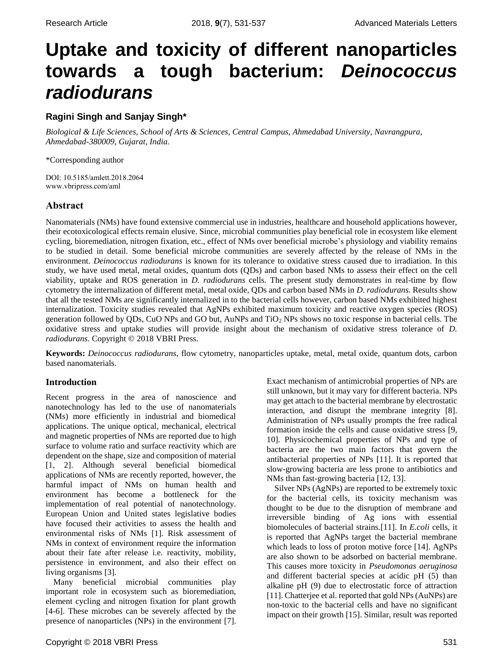# **Uptake and toxicity of different nanoparticles towards a tough bacterium:** *Deinococcus radiodurans*

# **Ragini Singh and Sanjay Singh\***

*Biological & Life Sciences, School of Arts & Sciences, Central Campus, Ahmedabad University, Navrangpura, Ahmedabad-380009, Gujarat, India.*

\*Corresponding author

DOI: 10.5185/amlett.2018.2064 www.vbripress.com/aml

# **Abstract**

Nanomaterials (NMs) have found extensive commercial use in industries, healthcare and household applications however, their ecotoxicological effects remain elusive. Since, microbial communities play beneficial role in ecosystem like element cycling, bioremediation, nitrogen fixation, etc., effect of NMs over beneficial microbe's physiology and viability remains to be studied in detail. Some beneficial microbe communities are severely affected by the release of NMs in the environment. *Deinococcus radiodurans* is known for its tolerance to oxidative stress caused due to irradiation. In this study, we have used metal, metal oxides, quantum dots (QDs) and carbon based NMs to assess their effect on the cell viability, uptake and ROS generation in *D. radiodurans* cells. The present study demonstrates in real-time by flow cytometry the internalization of different metal, metal oxide, QDs and carbon based NMs in *D. radiodurans.* Results show that all the tested NMs are significantly internalized in to the bacterial cells however, carbon based NMs exhibited highest internalization. Toxicity studies revealed that AgNPs exhibited maximum toxicity and reactive oxygen species (ROS) generation followed by QDs, CuO NPs and GO but, AuNPs and TiO<sup>2</sup> NPs shows no toxic response in bacterial cells. The oxidative stress and uptake studies will provide insight about the mechanism of oxidative stress tolerance of *D. radiodurans.* Copyright © 2018 VBRI Press.

**Keywords:** *Deinococcus radiodurans*, flow cytometry, nanoparticles uptake, metal, metal oxide, quantum dots, carbon based nanomaterials.

# **Introduction**

Recent progress in the area of nanoscience and nanotechnology has led to the use of nanomaterials (NMs) more efficiently in industrial and biomedical applications. The unique optical, mechanical, electrical and magnetic properties of NMs are reported due to high surface to volume ratio and surface reactivity which are dependent on the shape, size and composition of material [1, 2]. Although several beneficial biomedical applications of NMs are recently reported, however, the harmful impact of NMs on human health and environment has become a bottleneck for the implementation of real potential of nanotechnology. European Union and United states legislative bodies have focused their activities to assess the health and environmental risks of NMs [1]. Risk assessment of NMs in context of environment require the information about their fate after release i.e. reactivity, mobility, persistence in environment, and also their effect on living organisms [3].

Many beneficial microbial communities play important role in ecosystem such as bioremediation, element cycling and nitrogen fixation for plant growth [4-6]. These microbes can be severely affected by the presence of nanoparticles (NPs) in the environment [7].

Copyright © 2018 VBRI Press 531

Exact mechanism of antimicrobial properties of NPs are still unknown, but it may vary for different bacteria. NPs may get attach to the bacterial membrane by electrostatic interaction, and disrupt the membrane integrity [8]. Administration of NPs usually prompts the free radical formation inside the cells and cause oxidative stress [9, 10]. Physicochemical properties of NPs and type of bacteria are the two main factors that govern the antibacterial properties of NPs [11]. It is reported that slow-growing bacteria are less prone to antibiotics and NMs than fast-growing bacteria [12, 13].

Silver NPs (AgNPs) are reported to be extremely toxic for the bacterial cells, its toxicity mechanism was thought to be due to the disruption of membrane and irreversible binding of Ag ions with essential biomolecules of bacterial strains.[11]. In *E.coli* cells, it is reported that AgNPs target the bacterial membrane which leads to loss of proton motive force [14]. AgNPs are also shown to be adsorbed on bacterial membrane. This causes more toxicity in *Pseudomonas aeruginosa* and different bacterial species at acidic pH (5) than alkaline pH (9) due to electrostatic force of attraction [11]. Chatterjee et al. reported that gold NPs (AuNPs) are non-toxic to the bacterial cells and have no significant impact on their growth [15]. Similar, result was reported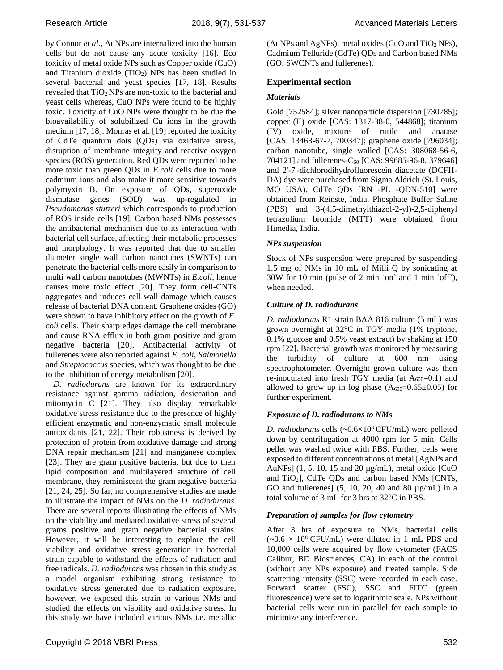by Connor *et al*., AuNPs are internalized into the human cells but do not cause any acute toxicity [16]. Eco toxicity of metal oxide NPs such as Copper oxide (CuO) and Titanium dioxide  $(TiO<sub>2</sub>)$  NPs has been studied in several bacterial and yeast species [17, 18]*.* Results revealed that TiO2 NPs are non-toxic to the bacterial and yeast cells whereas, CuO NPs were found to be highly toxic. Toxicity of CuO NPs were thought to be due the bioavailability of solubilized Cu ions in the growth medium [17, 18]. Monras et al. [19] reported the toxicity of CdTe quantum dots (QDs) via oxidative stress, disruption of membrane integrity and reactive oxygen species (ROS) generation. Red QDs were reported to be more toxic than green QDs in *E.coli* cells due to more cadmium ions and also make it more sensitive towards polymyxin B. On exposure of QDs, superoxide dismutase genes (SOD) was up-regulated in *Pseudomonas stutzeri* which corresponds to production of ROS inside cells [19]. Carbon based NMs possesses the antibacterial mechanism due to its interaction with bacterial cell surface, affecting their metabolic processes and morphology. It was reported that due to smaller diameter single wall carbon nanotubes (SWNTs) can penetrate the bacterial cells more easily in comparison to multi wall carbon nanotubes (MWNTs) in *E.coli*, hence causes more toxic effect [20]. They form cell-CNTs aggregates and induces cell wall damage which causes release of bacterial DNA content. Graphene oxides (GO) were shown to have inhibitory effect on the growth of *E. coli* cells. Their sharp edges damage the cell membrane and cause RNA efflux in both gram positive and gram negative bacteria [20]. Antibacterial activity of fullerenes were also reported against *E. coli*, *Salmonella* and *Streptococcus* species, which was thought to be due to the inhibition of energy metabolism [20].

*D. radiodurans* are known for its extraordinary resistance against gamma radiation, desiccation and mitomycin C [21]. They also display remarkable oxidative stress resistance due to the presence of highly efficient enzymatic and non-enzymatic small molecule antioxidants [21, 22]. Their robustness is derived by protection of protein from oxidative damage and strong DNA repair mechanism [21] and manganese complex [23]. They are gram positive bacteria, but due to their lipid composition and multilayered structure of cell membrane, they reminiscent the gram negative bacteria [21, 24, 25]. So far, no comprehensive studies are made to illustrate the impact of NMs on the *D. radiodurans*. There are several reports illustrating the effects of NMs on the viability and mediated oxidative stress of several grams positive and gram negative bacterial strains. However, it will be interesting to explore the cell viability and oxidative stress generation in bacterial strain capable to withstand the effects of radiation and free radicals. *D. radiodurans* was chosen in this study as a model organism exhibiting strong resistance to oxidative stress generated due to radiation exposure, however, we exposed this strain to various NMs and studied the effects on viability and oxidative stress. In this study we have included various NMs i.e. metallic

(AuNPs and AgNPs), metal oxides (CuO and  $TiO<sub>2</sub>$  NPs), Cadmium Telluride (CdTe) QDs and Carbon based NMs (GO, SWCNTs and fullerenes).

# **Experimental section**

## *Materials*

Gold [752584]; silver nanoparticle dispersion [730785]; copper (II) oxide [CAS: 1317-38-0, 544868]; titanium (IV) oxide, mixture of rutile and anatase [CAS: 13463-67-7, 700347]; graphene oxide [796034]; carbon nanotube, single walled [CAS: 308068-56-6, 704121] and fullerenes- $C_{60}$  [CAS: 99685-96-8, 379646] and 2'-7'-dichlorodihydrofluorescein diacetate (DCFH-DA) dye were purchased from Sigma Aldrich (St. Louis, MO USA). CdTe QDs [RN -PL -QDN-510] were obtained from Reinste, India. Phosphate Buffer Saline (PBS) and 3-(4,5-dimethylthiazol-2-yl)-2,5-diphenyl tetrazolium bromide (MTT) were obtained from Himedia, India.

## *NPs suspension*

Stock of NPs suspension were prepared by suspending 1.5 mg of NMs in 10 mL of Milli Q by sonicating at 30W for 10 min (pulse of 2 min 'on' and 1 min 'off'), when needed.

# *Culture of D. radiodurans*

*D. radiodurans* R1 strain BAA 816 culture (5 mL) was grown overnight at 32°C in TGY media (1% tryptone, 0.1% glucose and 0.5% yeast extract) by shaking at 150 rpm [22]. Bacterial growth was monitored by measuring the turbidity of culture at 600 nm using spectrophotometer. Overnight grown culture was then re-inoculated into fresh TGY media (at  $A_{600}=0.1$ ) and allowed to grow up in log phase  $(A_{600}=0.65\pm0.05)$  for further experiment.

# *Exposure of D. radiodurans to NMs*

*D. radiodurans* cells  $(-0.6 \times 10^8 \text{ CFU/mL})$  were pelleted down by centrifugation at 4000 rpm for 5 min. Cells pellet was washed twice with PBS. Further, cells were exposed to different concentrations of metal [AgNPs and AuNPs]  $(1, 5, 10, 15 \text{ and } 20 \mu\text{g/mL})$ , metal oxide [CuO] and TiO2], CdTe QDs and carbon based NMs [CNTs, GO and fullerenes] (5, 10, 20, 40 and 80 µg/mL) in a total volume of 3 mL for 3 hrs at 32°C in PBS.

## *Preparation of samples for flow cytometry*

After 3 hrs of exposure to NMs, bacterial cells  $(-0.6 \times 10^8 \text{ CFU/mL})$  were diluted in 1 mL PBS and 10,000 cells were acquired by flow cytometer (FACS Calibur, BD Biosciences, CA) in each of the control (without any NPs exposure) and treated sample. Side scattering intensity (SSC) were recorded in each case. Forward scatter (FSC), SSC and FITC (green fluorescence) were set to logarithmic scale. NPs without bacterial cells were run in parallel for each sample to minimize any interference.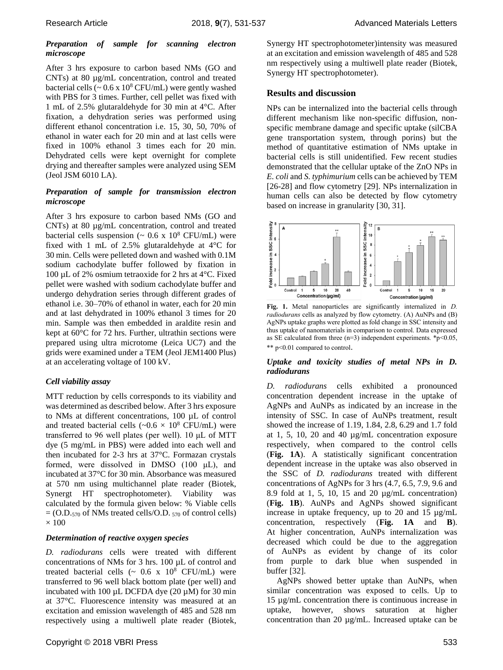#### *Preparation of sample for scanning electron microscope*

After 3 hrs exposure to carbon based NMs (GO and CNTs) at 80 µg/mL concentration, control and treated bacterial cells ( $\sim 0.6$  x 10<sup>8</sup> CFU/mL) were gently washed with PBS for 3 times. Further, cell pellet was fixed with 1 mL of 2.5% glutaraldehyde for 30 min at 4°C. After fixation, a dehydration series was performed using different ethanol concentration i.e. 15, 30, 50, 70% of ethanol in water each for 20 min and at last cells were fixed in 100% ethanol 3 times each for 20 min. Dehydrated cells were kept overnight for complete drying and thereafter samples were analyzed using SEM (Jeol JSM 6010 LA).

#### *Preparation of sample for transmission electron microscope*

After 3 hrs exposure to carbon based NMs (GO and CNTs) at 80 µg/mL concentration, control and treated bacterial cells suspension ( $\sim 0.6$  x 10<sup>8</sup> CFU/mL) were fixed with 1 mL of 2.5% glutaraldehyde at 4°C for 30 min. Cells were pelleted down and washed with 0.1M sodium cachodylate buffer followed by fixation in 100 µL of 2% osmium tetraoxide for 2 hrs at 4°C. Fixed pellet were washed with sodium cachodylate buffer and undergo dehydration series through different grades of ethanol i.e. 30–70% of ethanol in water, each for 20 min and at last dehydrated in 100% ethanol 3 times for 20 min. Sample was then embedded in araldite resin and kept at 60°C for 72 hrs. Further, ultrathin sections were prepared using ultra microtome (Leica UC7) and the grids were examined under a TEM (Jeol JEM1400 Plus) at an accelerating voltage of 100 kV.

# *Cell viability assay*

MTT reduction by cells corresponds to its viability and was determined as described below. After 3 hrs exposure to NMs at different concentrations, 100 µL of control and treated bacterial cells ( $\sim 0.6 \times 10^8$  CFU/mL) were transferred to 96 well plates (per well). 10 μL of MTT dye (5 mg/mL in PBS) were added into each well and then incubated for 2-3 hrs at 37°C. Formazan crystals formed, were dissolved in DMSO (100 μL), and incubated at 37°C for 30 min. Absorbance was measured at 570 nm using multichannel plate reader (Biotek, Synergt HT spectrophotometer). Viability was calculated by the formula given below: % Viable cells  $= (O.D.<sub>570</sub>$  of NMs treated cells/O.D.  $_{570}$  of control cells)  $\times$  100

## *Determination of reactive oxygen species*

*D. radiodurans* cells were treated with different concentrations of NMs for 3 hrs. 100 µL of control and treated bacterial cells  $\sim 0.6$  x  $10^8$  CFU/mL) were transferred to 96 well black bottom plate (per well) and incubated with 100  $\mu$ L DCFDA dye (20  $\mu$ M) for 30 min at 37°C. Fluorescence intensity was measured at an excitation and emission wavelength of 485 and 528 nm respectively using a multiwell plate reader (Biotek, Synergy HT spectrophotometer)intensity was measured at an excitation and emission wavelength of 485 and 528 nm respectively using a multiwell plate reader (Biotek, Synergy HT spectrophotometer).

# **Results and discussion**

NPs can be internalized into the bacterial cells through different mechanism like non-specific diffusion, nonspecific membrane damage and specific uptake (silCBA gene transportation system, through porins) but the method of quantitative estimation of NMs uptake in bacterial cells is still unidentified. Few recent studies demonstrated that the cellular uptake of the ZnO NPs in *E. coli* and *S. typhimurium* cells can be achieved by TEM [26-28] and flow cytometry [29]. NPs internalization in human cells can also be detected by flow cytometry based on increase in granularity [30, 31].



**Fig. 1.** Metal nanoparticles are significantly internalized in *D. radiodurans* cells as analyzed by flow cytometry. (A) AuNPs and (B) AgNPs uptake graphs were plotted as fold change in SSC intensity and thus uptake of nanomaterials in comparison to control. Data expressed as SE calculated from three  $(n=3)$  independent experiments. \*p<0.05, \*\* p<0.01 compared to control.

#### *Uptake and toxicity studies of metal NPs in D. radiodurans*

*D. radiodurans* cells exhibited a pronounced concentration dependent increase in the uptake of AgNPs and AuNPs as indicated by an increase in the intensity of SSC. In case of AuNPs treatment, result showed the increase of 1.19, 1.84, 2.8, 6.29 and 1.7 fold at 1, 5, 10, 20 and 40 µg/mL concentration exposure respectively, when compared to the control cells (**Fig. 1A**). A statistically significant concentration dependent increase in the uptake was also observed in the SSC of *D. radiodurans* treated with different concentrations of AgNPs for 3 hrs (4.7, 6.5, 7.9, 9.6 and 8.9 fold at 1, 5, 10, 15 and 20 µg/mL concentration) (**Fig. 1B**). AuNPs and AgNPs showed significant increase in uptake frequency, up to 20 and 15  $\mu$ g/mL concentration, respectively (**Fig. 1A** and **B**). At higher concentration, AuNPs internalization was decreased which could be due to the aggregation of AuNPs as evident by change of its color from purple to dark blue when suspended in buffer [32].

AgNPs showed better uptake than AuNPs, when similar concentration was exposed to cells. Up to 15 µg/mL concentration there is continuous increase in uptake, however, shows saturation at higher concentration than 20 µg/mL. Increased uptake can be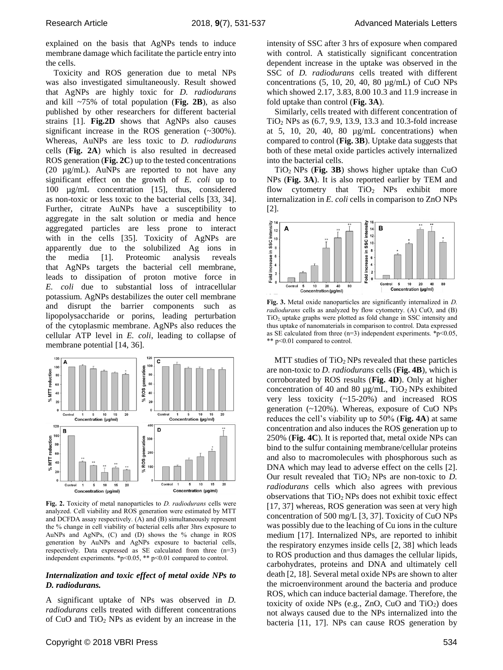explained on the basis that AgNPs tends to induce membrane damage which facilitate the particle entry into the cells.

Toxicity and ROS generation due to metal NPs was also investigated simultaneously. Result showed that AgNPs are highly toxic for *D. radiodurans* and kill ~75% of total population (**Fig. 2B**), as also published by other researchers for different bacterial strains [1]. **Fig.2D** shows that AgNPs also causes significant increase in the ROS generation (~300%). Whereas, AuNPs are less toxic to *D. radiodurans* cells (**Fig. 2A**) which is also resulted in decreased ROS generation (**Fig. 2C**) up to the tested concentrations (20 µg/mL). AuNPs are reported to not have any significant effect on the growth of *E. coli* up to 100 µg/mL concentration [15], thus, considered as non-toxic or less toxic to the bacterial cells [33, 34]. Further, citrate AuNPs have a susceptibility to aggregate in the salt solution or media and hence aggregated particles are less prone to interact with in the cells [35]. Toxicity of AgNPs are apparently due to the solubilized Ag ions in the media [1]. Proteomic analysis reveals that AgNPs targets the bacterial cell membrane, leads to dissipation of proton motive force in *E. coli* due to substantial loss of intracellular potassium. AgNPs destabilizes the outer cell membrane and disrupt the barrier components such as lipopolysaccharide or porins, leading perturbation of the cytoplasmic membrane. AgNPs also reduces the cellular ATP level in *E. coli*, leading to collapse of membrane potential [14, 36].



**Fig. 2.** Toxicity of metal nanoparticles to *D. radiodurans* cells were analyzed. Cell viability and ROS generation were estimated by MTT and DCFDA assay respectively. (A) and (B) simultaneously represent the % change in cell viability of bacterial cells after 3hrs exposure to AuNPs and AgNPs, (C) and (D) shows the % change in ROS generation by AuNPs and AgNPs exposure to bacterial cells, respectively. Data expressed as SE calculated from three (n=3) independent experiments. \*p<0.05, \*\* p<0.01 compared to control.

#### *Internalization and toxic effect of metal oxide NPs to D. radiodurans.*

A significant uptake of NPs was observed in *D. radiodurans* cells treated with different concentrations of CuO and  $TiO<sub>2</sub>$  NPs as evident by an increase in the intensity of SSC after 3 hrs of exposure when compared with control. A statistically significant concentration dependent increase in the uptake was observed in the SSC of *D. radiodurans* cells treated with different concentrations  $(5, 10, 20, 40, 80 \mu g/mL)$  of CuO NPs which showed 2.17, 3.83, 8.00 10.3 and 11.9 increase in fold uptake than control (**Fig. 3A**).

Similarly, cells treated with different concentration of TiO<sup>2</sup> NPs as (6.7, 9.9, 13.9, 13.3 and 10.3-fold increase at 5, 10, 20, 40, 80  $\mu$ g/mL concentrations) when compared to control (**Fig. 3B**). Uptake data suggests that both of these metal oxide particles actively internalized into the bacterial cells.

TiO2 NPs (**Fig. 3B**) shows higher uptake than CuO NPs (**Fig. 3A**). It is also reported earlier by TEM and flow cytometry that  $TiO<sub>2</sub>$  NPs exhibit more internalization in *E. coli* cells in comparison to ZnO NPs [2].



**Fig. 3.** Metal oxide nanoparticles are significantly internalized in *D. radiodurans* cells as analyzed by flow cytometry. (A) CuO, and (B)  $TiO<sub>2</sub>$  uptake graphs were plotted as fold change in SSC intensity and thus uptake of nanomaterials in comparison to control. Data expressed as SE calculated from three  $(n=3)$  independent experiments. \*p<0.05, \*\* p<0.01 compared to control.

MTT studies of  $TiO<sub>2</sub>$  NPs revealed that these particles are non-toxic to *D. radiodurans* cells (**Fig. 4B**), which is corroborated by ROS results (**Fig. 4D**). Only at higher concentration of 40 and 80  $\mu$ g/mL, TiO<sub>2</sub> NPs exhibited very less toxicity (~15-20%) and increased ROS generation (~120%). Whereas, exposure of CuO NPs reduces the cell's viability up to 50% (**Fig. 4A**) at same concentration and also induces the ROS generation up to 250% (**Fig. 4C**). It is reported that, metal oxide NPs can bind to the sulfur containing membrane/cellular proteins and also to macromolecules with phosphorous such as DNA which may lead to adverse effect on the cells [2]. Our result revealed that  $TiO<sub>2</sub>$  NPs are non-toxic to *D*. *radiodurans* cells which also agrees with previous observations that  $TiO<sub>2</sub>$  NPs does not exhibit toxic effect [17, 37] whereas, ROS generation was seen at very high concentration of 500 mg/L [3, 37]. Toxicity of CuO NPs was possibly due to the leaching of Cu ions in the culture medium [17]. Internalized NPs, are reported to inhibit the respiratory enzymes inside cells [2, 38] which leads to ROS production and thus damages the cellular lipids, carbohydrates, proteins and DNA and ultimately cell death [2, 18]. Several metal oxide NPs are shown to alter the microenvironment around the bacteria and produce ROS, which can induce bacterial damage. Therefore, the toxicity of oxide NPs (e.g.,  $ZnO$ ,  $CuO$  and  $TiO<sub>2</sub>$ ) does not always caused due to the NPs internalized into the bacteria [11, 17]. NPs can cause ROS generation by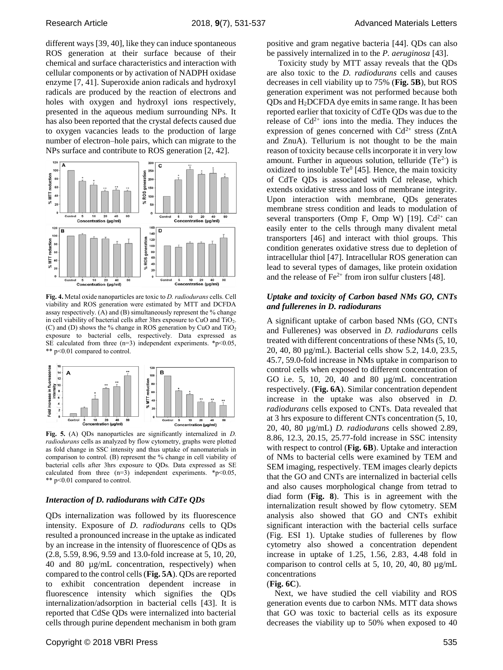different ways [39, 40], like they can induce spontaneous ROS generation at their surface because of their chemical and surface characteristics and interaction with cellular components or by activation of NADPH oxidase enzyme [7, 41]. Superoxide anion radicals and hydroxyl radicals are produced by the reaction of electrons and holes with oxygen and hydroxyl ions respectively, presented in the aqueous medium surrounding NPs. It has also been reported that the crystal defects caused due to oxygen vacancies leads to the production of large number of electron–hole pairs, which can migrate to the NPs surface and contribute to ROS generation [2, 42].



**Fig. 4.** Metal oxide nanoparticles are toxic to *D. radiodurans* cells. Cell viability and ROS generation were estimated by MTT and DCFDA assay respectively. (A) and (B) simultaneously represent the % change in cell viability of bacterial cells after 3hrs exposure to CuO and TiO2. (C) and (D) shows the % change in ROS generation by CuO and  $TiO<sub>2</sub>$ exposure to bacterial cells, respectively. Data expressed as SE calculated from three  $(n=3)$  independent experiments. \*p<0.05, \*\* p<0.01 compared to control.



**Fig. 5.** (A) QDs nanoparticles are significantly internalized in *D. radiodurans* cells as analyzed by flow cytometry, graphs were plotted as fold change in SSC intensity and thus uptake of nanomaterials in comparison to control. (B) represent the % change in cell viability of bacterial cells after 3hrs exposure to QDs. Data expressed as SE calculated from three  $(n=3)$  independent experiments. \*p<0.05, \*\* p<0.01 compared to control.

#### *Interaction of D. radiodurans with CdTe QDs*

QDs internalization was followed by its fluorescence intensity. Exposure of *D. radiodurans* cells to QDs resulted a pronounced increase in the uptake as indicated by an increase in the intensity of fluorescence of QDs as (2.8, 5.59, 8.96, 9.59 and 13.0-fold increase at 5, 10, 20, 40 and 80 µg/mL concentration, respectively) when compared to the control cells (**Fig. 5A**). QDs are reported to exhibit concentration dependent increase in fluorescence intensity which signifies the QDs internalization/adsorption in bacterial cells [43]. It is reported that CdSe QDs were internalized into bacterial cells through purine dependent mechanism in both gram positive and gram negative bacteria [44]. QDs can also be passively internalized in to the *P. aeruginosa* [43].

Toxicity study by MTT assay reveals that the QDs are also toxic to the *D. radiodurans* cells and causes decreases in cell viability up to 75% (**Fig. 5B**), but ROS generation experiment was not performed because both QDs and H2DCFDA dye emits in same range. It has been reported earlier that toxicity of CdTe QDs was due to the release of  $Cd^{2+}$  ions into the media. They induces the expression of genes concerned with  $Cd^{2+}$  stress (ZntA and ZnuA). Tellurium is not thought to be the main reason of toxicity because cells incorporate it in very low amount. Further in aqueous solution, telluride  $(Te<sup>2</sup>)$  is oxidized to insoluble  $Te^{0}$  [45]. Hence, the main toxicity of CdTe QDs is associated with Cd release, which extends oxidative stress and loss of membrane integrity. Upon interaction with membrane, QDs generates membrane stress condition and leads to modulation of several transporters (Omp F, Omp W) [19].  $Cd^{2+}$  can easily enter to the cells through many divalent metal transporters [46] and interact with thiol groups. This condition generates oxidative stress due to depletion of intracellular thiol [47]. Intracellular ROS generation can lead to several types of damages, like protein oxidation and the release of  $Fe^{2+}$  from iron sulfur clusters [48].

#### *Uptake and toxicity of Carbon based NMs GO, CNTs and fullerenes in D. radiodurans*

A significant uptake of carbon based NMs (GO, CNTs and Fullerenes) was observed in *D. radiodurans* cells treated with different concentrations of these NMs (5, 10, 20, 40, 80 µg/mL). Bacterial cells show 5.2, 14.0, 23.5, 45.7, 59.0-fold increase in NMs uptake in comparison to control cells when exposed to different concentration of GO i.e. 5, 10, 20, 40 and 80 µg/mL concentration respectively. (**Fig. 6A**). Similar concentration dependent increase in the uptake was also observed in *D. radiodurans* cells exposed to CNTs*.* Data revealed that at 3 hrs exposure to different CNTs concentration (5, 10, 20, 40, 80 µg/mL) *D. radiodurans* cells showed 2.89, 8.86, 12.3, 20.15, 25.77-fold increase in SSC intensity with respect to control (**Fig. 6B**). Uptake and interaction of NMs to bacterial cells were examined by TEM and SEM imaging, respectively. TEM images clearly depicts that the GO and CNTs are internalized in bacterial cells and also causes morphological change from tetrad to diad form (**Fig. 8**). This is in agreement with the internalization result showed by flow cytometry. SEM analysis also showed that GO and CNTs exhibit significant interaction with the bacterial cells surface (Fig. ESI 1). Uptake studies of fullerenes by flow cytometry also showed a concentration dependent increase in uptake of 1.25, 1.56, 2.83, 4.48 fold in comparison to control cells at 5, 10, 20, 40, 80  $\mu$ g/mL concentrations

#### (**Fig. 6C**).

Next, we have studied the cell viability and ROS generation events due to carbon NMs. MTT data shows that GO was toxic to bacterial cells as its exposure decreases the viability up to 50% when exposed to 40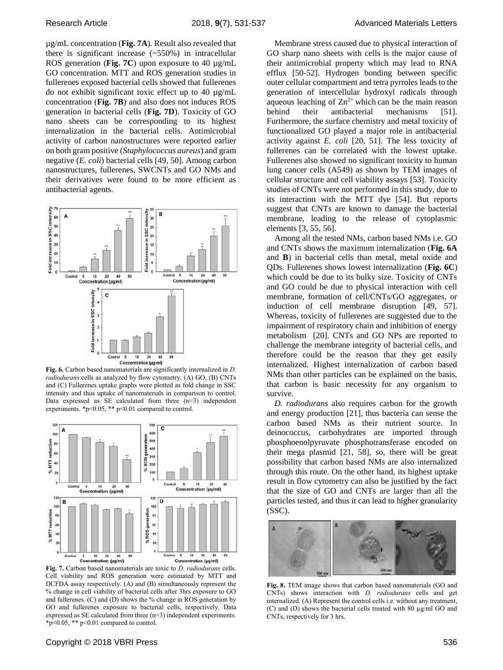µg/mL concentration (**Fig. 7A**). Result also revealed that there is significant increase (~550%) in intracellular ROS generation (**Fig. 7C**) upon exposure to 40 µg/mL GO concentration. MTT and ROS generation studies in fullerenes exposed bacterial cells showed that fullerenes do not exhibit significant toxic effect up to 40 µg/mL concentration (**Fig. 7B**) and also does not induces ROS generation in bacterial cells (**Fig. 7D**). Toxicity of GO nano sheets can be corresponding to its highest internalization in the bacterial cells. Antimicrobial activity of carbon nanostructures were reported earlier on both gram positive (*Staphylococcus aureus*) and gram negative (*E. coli*) bacterial cells [49, 50]. Among carbon nanostructures, fullerenes, SWCNTs and GO NMs and their derivatives were found to be more efficient as antibacterial agents.



**Fig. 6.** Carbon based nanomaterials are significantly internalized in *D. radiodurans* cells as analyzed by flow cytometry. (A) GO, (B) CNTs and (C) Fullerenes uptake graphs were plotted as fold change in SSC intensity and thus uptake of nanomaterials in comparison to control. Data expressed as SE calculated from three (n=3) independent experiments.  $\ast$  p<0.05,  $\ast\ast$  p<0.01 compared to control.



**Fig. 7.** Carbon based nanomaterials are toxic to *D. radiodurans* cells. Cell viability and ROS generation were estimated by MTT and DCFDA assay respectively. (A) and (B) simultaneously represent the % change in cell viability of bacterial cells after 3hrs exposure to GO and fullerenes. (C) and (D) shows the % change in ROS generation by GO and fullerenes exposure to bacterial cells, respectively. Data expressed as SE calculated from three (n=3) independent experiments. \*p<0.05, \*\* p<0.01 compared to control.

Membrane stress caused due to physical interaction of GO sharp nano sheets with cells is the major cause of their antimicrobial property which may lead to RNA efflux [50-52]. Hydrogen bonding between specific outer cellular compartment and tetra pyrroles leads to the generation of intercellular hydroxyl radicals through aqueous leaching of  $\text{Zn}^{2+}$  which can be the main reason behind their antibacterial mechanisms [51]. Furthermore, the surface chemistry and metal toxicity of functionalized GO played a major role in antibacterial activity against *E. coli* [20, 51]. The less toxicity of fullerenes can be correlated with the lowest uptake. Fullerenes also showed no significant toxicity to human lung cancer cells (A549) as shown by TEM images of cellular structure and cell viability assays [53]. Toxicity studies of CNTs were not performed in this study, due to its interaction with the MTT dye [54]. But reports suggest that CNTs are known to damage the bacterial membrane, leading to the release of cytoplasmic elements [3, 55, 56].

Among all the tested NMs, carbon based NMs i.e. GO and CNTs shows the maximum internalization (**Fig. 6A** and **B**) in bacterial cells than metal, metal oxide and QDs. Fullerenes shows lowest internalization (**Fig. 6C**) which could be due to its bulky size. Toxicity of CNTs and GO could be due to physical interaction with cell membrane, formation of cell/CNTs/GO aggregates, or induction of cell membrane disruption [49, 57]. Whereas, toxicity of fullerenes are suggested due to the impairment of respiratory chain and inhibition of energy metabolism [20]. CNTs and GO NPs are reported to challenge the membrane integrity of bacterial cells, and therefore could be the reason that they get easily internalized. Highest internalization of carbon based NMs than other particles can be explained on the basis, that carbon is basic necessity for any organism to survive.

*D. radiodurans* also requires carbon for the growth and energy production [21], thus bacteria can sense the carbon based NMs as their nutrient source. In deinococcus, carbohydrates are imported through phosphoenolpyruvate phosphotransferase encoded on their mega plasmid [21, 58], so, there will be great possibility that carbon based NMs are also internalized through this route. On the other hand, its highest uptake result in flow cytometry can also be justified by the fact that the size of GO and CNTs are larger than all the particles tested, and thus it can lead to higher granularity (SSC).



**Fig. 8.** TEM image shows that carbon based nanomaterials (GO and CNTs) shows interaction with *D. radiodurans* cells and get internalized. (A) Represent the control cells i.e. without any treatment, (C) and (D) shows the bacterial cells treated with 80 µg/ml GO and CNTs, respectively for 3 hrs.